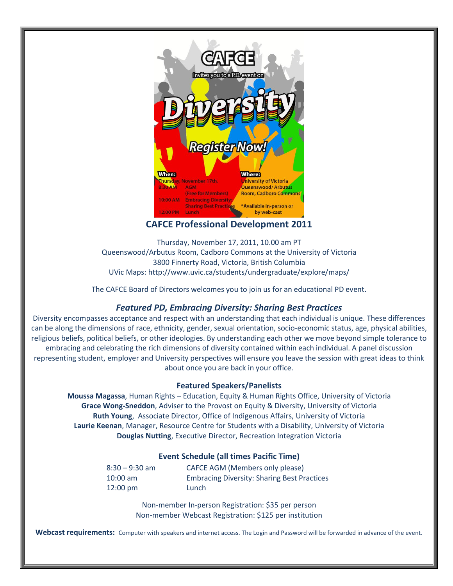

## **CAFCE Professional Development 2011**

Thursday, November 17, 2011, 10.00 am PT Queenswood/Arbutus Room, Cadboro Commons at the University of Victoria 3800 Finnerty Road, Victoria, British Columbia UVic Maps:<http://www.uvic.ca/students/undergraduate/explore/maps/>

The CAFCE Board of Directors welcomes you to join us for an educational PD event.

## *Featured PD, Embracing Diversity: Sharing Best Practices*

Diversity encompasses acceptance and respect with an understanding that each individual is unique. These differences can be along the dimensions of race, ethnicity, gender, sexual orientation, socio-economic status, age, physical abilities, religious beliefs, political beliefs, or other ideologies. By understanding each other we move beyond simple tolerance to embracing and celebrating the rich dimensions of diversity contained within each individual. A panel discussion representing student, employer and University perspectives will ensure you leave the session with great ideas to think about once you are back in your office.

## **Featured Speakers/Panelists**

**Moussa Magassa**, Human Rights – Education, Equity & Human Rights Office, University of Victoria **Grace Wong-Sneddon**, Adviser to the Provost on Equity & Diversity, University of Victoria **Ruth Young**, Associate Director, Office of Indigenous Affairs, University of Victoria **Laurie Keenan**, Manager, Resource Centre for Students with a Disability, University of Victoria **Douglas Nutting**, Executive Director, Recreation Integration Victoria

## **Event Schedule (all times Pacific Time)**

8:30 – 9:30 am CAFCE AGM (Members only please) 10:00 am Embracing Diversity: Sharing Best Practices 12:00 pm Lunch

> Non-member In-person Registration: \$35 per person Non-member Webcast Registration: \$125 per institution

**Webcast requirements:** Computer with speakers and internet access. The Login and Password will be forwarded in advance of the event.